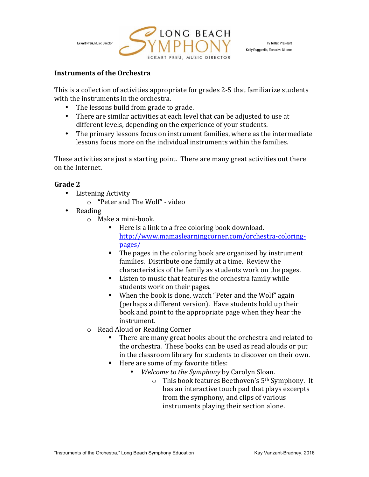

### **Instruments of the Orchestra**

This is a collection of activities appropriate for grades 2-5 that familiarize students with the instruments in the orchestra.

- The lessons build from grade to grade.
- There are similar activities at each level that can be adjusted to use at different levels, depending on the experience of your students.
- The primary lessons focus on instrument families, where as the intermediate lessons focus more on the individual instruments within the families.

These activities are just a starting point. There are many great activities out there on the Internet. 

- Listening Activity
	- o "Peter and The Wolf" video
- Reading
	- $\circ$  Make a mini-book.
		- $\blacksquare$  Here is a link to a free coloring book download. http://www.mamaslearningcorner.com/orchestra-coloringpages/
		- $\blacksquare$  The pages in the coloring book are organized by instrument families. Distribute one family at a time. Review the characteristics of the family as students work on the pages.
		- Listen to music that features the orchestra family while students work on their pages.
		- When the book is done, watch "Peter and the Wolf" again (perhaps a different version). Have students hold up their book and point to the appropriate page when they hear the instrument.
	- o Read Aloud or Reading Corner
		- There are many great books about the orchestra and related to the orchestra. These books can be used as read alouds or put in the classroom library for students to discover on their own.
		- Here are some of my favorite titles:
			- *Welcome to the Symphony* by Carolyn Sloan.
				- $\circ$  This book features Beethoven's 5<sup>th</sup> Symphony. It has an interactive touch pad that plays excerpts from the symphony, and clips of various instruments playing their section alone.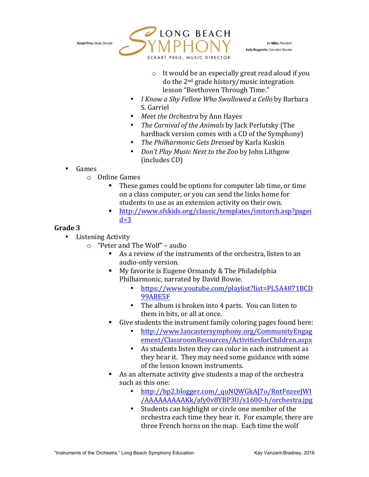

Irv Miller, President Kelly Ruggirello, Executive Director

- $\circ$  It would be an especially great read aloud if you do the 2<sup>nd</sup> grade history/music integration lesson "Beethoven Through Time."
- *I Know a Shy Fellow Who Swallowed a Cello* by Barbara S. Garriel
- *Meet the Orchestra* by Ann Hayes
- *The Carnival of the Animals by Jack Perlutsky (The* hardback version comes with a CD of the Symphony)
- The Philharmonic Gets Dressed by Karla Kuskin
- *Don't Play Music Next to the Zoo by John Lithgow* (includes CD)
- Games
	- $\circ$  Online Games
		- These games could be options for computer lab time, or time on a class computer, or you can send the links home for students to use as an extension activity on their own.
		- § http://www.sfskids.org/classic/templates/instorch.asp?pagei  $d=3$

- Listening Activity
	- $\circ$  "Peter and The Wolf" audio
		- $\blacksquare$  As a review of the instruments of the orchestra, listen to an audio-only version.
		- My favorite is Eugene Ormandy & The Philadelphia Philharmonic, narrated by David Bowie.
			- https://www.youtube.com/playlist?list=PL5A4871BCD 99ABE5F
			- The album is broken into 4 parts. You can listen to them in bits, or all at once.
		- Give students the instrument family coloring pages found here:
			- http://www.lancastersymphony.org/CommunityEngag ement/ClassroomResources/ActivitiesforChildren.aspx
			- As students listen they can color in each instrument as they hear it. They may need some guidance with some of the lesson known instruments.
		- As an alternate activity give students a map of the orchestra such as this one:
			- http://bp2.blogger.com/\_quNQWGkAJ7o/RntFnzeeJWI /AAAAAAAAAKk/afy0v8YBP3U/s1600-h/orchestra.jpg
			- Students can highlight or circle one member of the orchestra each time they hear it. For example, there are three French horns on the map. Each time the wolf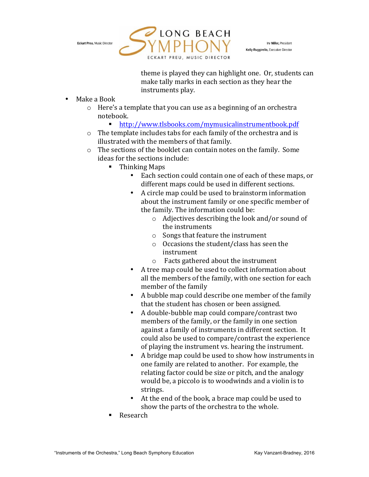

Irv Miller, President Kelly Ruggirello, Executive Director

theme is played they can highlight one. Or, students can make tally marks in each section as they hear the instruments play.

- Make a Book
	- $\circ$  Here's a template that you can use as a beginning of an orchestra notebook.
		- § http://www.tlsbooks.com/mymusicalinstrumentbook.pdf
	- $\circ$  The template includes tabs for each family of the orchestra and is illustrated with the members of that family.
	- $\circ$  The sections of the booklet can contain notes on the family. Some ideas for the sections include:
		- $\blacksquare$  Thinking Maps
			- Each section could contain one of each of these maps, or different maps could be used in different sections.
			- A circle map could be used to brainstorm information about the instrument family or one specific member of the family. The information could be:
				- $\circ$  Adjectives describing the look and/or sound of the instruments
				- $\circ$  Songs that feature the instrument
				- $\circ$  Occasions the student/class has seen the instrument
				- $\circ$  Facts gathered about the instrument
			- A tree map could be used to collect information about all the members of the family, with one section for each member of the family
			- A bubble map could describe one member of the family that the student has chosen or been assigned.
			- A double-bubble map could compare/contrast two members of the family, or the family in one section against a family of instruments in different section. It could also be used to compare/contrast the experience of playing the instrument vs. hearing the instrument.
			- A bridge map could be used to show how instruments in one family are related to another. For example, the relating factor could be size or pitch, and the analogy would be, a piccolo is to woodwinds and a violin is to strings.
			- At the end of the book, a brace map could be used to show the parts of the orchestra to the whole.
		- § Research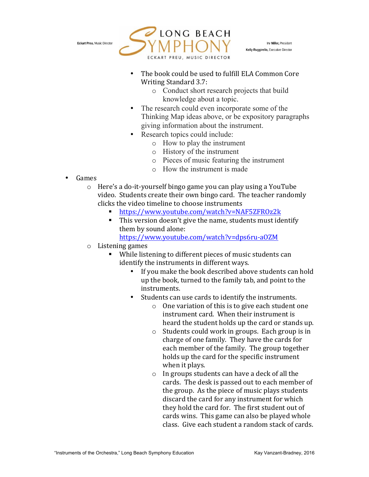

Irv Miller, President Kelly Ruggirello, Executive Director

- The book could be used to fulfill ELA Common Core Writing Standard 3.7:
	- o Conduct short research projects that build knowledge about a topic.
- The research could even incorporate some of the Thinking Map ideas above, or be expository paragraphs giving information about the instrument.
- Research topics could include:
	- o How to play the instrument
	- o History of the instrument
	- o Pieces of music featuring the instrument
	- o How the instrument is made

- Games
	- $\circ$  Here's a do-it-yourself bingo game you can play using a YouTube video. Students create their own bingo card. The teacher randomly clicks the video timeline to choose instruments
		- § https://www.youtube.com/watch?v=NAF5ZFROz2k
		- This version doesn't give the name, students must identify them by sound alone:
			- https://www.youtube.com/watch?v=dps6ru-aOZM
	- $\circ$  Listening games
		- While listening to different pieces of music students can identify the instruments in different ways.
			- If you make the book described above students can hold up the book, turned to the family tab, and point to the instruments.
			- Students can use cards to identify the instruments.
				- $\circ$  One variation of this is to give each student one instrument card. When their instrument is heard the student holds up the card or stands up.
				- $\circ$  Students could work in groups. Each group is in charge of one family. They have the cards for each member of the family. The group together holds up the card for the specific instrument when it plays.
				- $\circ$  In groups students can have a deck of all the cards. The desk is passed out to each member of the group. As the piece of music plays students discard the card for any instrument for which they hold the card for. The first student out of cards wins. This game can also be played whole class. Give each student a random stack of cards.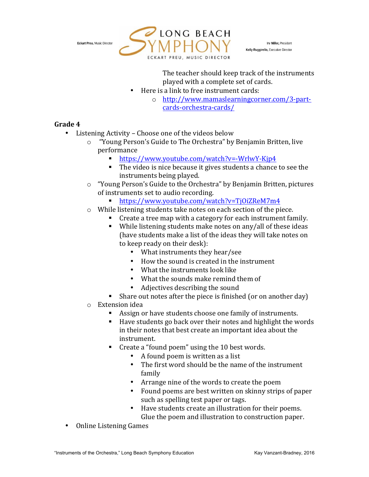

Irv Miller, President Kelly Ruggirello, Executive Director

The teacher should keep track of the instruments played with a complete set of cards.

- Here is a link to free instrument cards:
	- o http://www.mamaslearningcorner.com/3-partcards-orchestra-cards/

- Listening Activity Choose one of the videos below
	- $\circ$  "Young Person's Guide to The Orchestra" by Benjamin Britten, live performance
		- § https://www.youtube.com/watch?v=-WrlwY-Kjp4
		- The video is nice because it gives students a chance to see the instruments being played.
	- $\circ$  "Young Person's Guide to the Orchestra" by Benjamin Britten, pictures of instruments set to audio recording.
		- § https://www.youtube.com/watch?v=TjOiZReM7m4
	- $\circ$  While listening students take notes on each section of the piece.
		- Create a tree map with a category for each instrument family.
		- While listening students make notes on any/all of these ideas (have students make a list of the ideas they will take notes on to keep ready on their desk):
			- What instruments they hear/see
			- How the sound is created in the instrument
			- $\bullet$  What the instruments look like
			- What the sounds make remind them of
			- Adjectives describing the sound
		- Share out notes after the piece is finished (or on another day)
	- $\circ$  Extension idea
		- Assign or have students choose one family of instruments.
		- $\blacksquare$  Have students go back over their notes and highlight the words in their notes that best create an important idea about the instrument.
		- Create a "found poem" using the 10 best words.
			- A found poem is written as a list
			- The first word should be the name of the instrument family
			- Arrange nine of the words to create the poem
			- Found poems are best written on skinny strips of paper such as spelling test paper or tags.
			- Have students create an illustration for their poems. Glue the poem and illustration to construction paper.
- Online Listening Games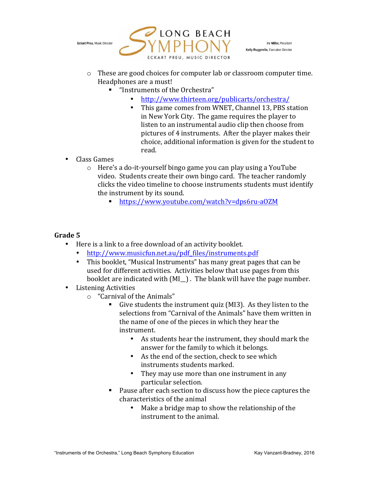

Irv Miller, President Kelly Ruggirello, Executive Director

- $\circ$  These are good choices for computer lab or classroom computer time. Headphones are a must!
	- "Instruments of the Orchestra"
		- http://www.thirteen.org/publicarts/orchestra/
		- This game comes from WNET, Channel 13, PBS station in New York City. The game requires the player to listen to an instrumental audio clip then choose from pictures of 4 instruments. After the player makes their choice, additional information is given for the student to read.
- Class Games
	- $\circ$  Here's a do-it-yourself bingo game you can play using a YouTube video. Students create their own bingo card. The teacher randomly clicks the video timeline to choose instruments students must identify the instrument by its sound.
		- § https://www.youtube.com/watch?v=dps6ru-aOZM

- Here is a link to a free download of an activity booklet.
	- http://www.musicfun.net.au/pdf\_files/instruments.pdf
	- This booklet, "Musical Instruments" has many great pages that can be used for different activities. Activities below that use pages from this booklet are indicated with  $(MI_{\_})$ . The blank will have the page number.
- Listening Activities
	- $\circ$  "Carnival of the Animals"
		- Give students the instrument quiz (MI3). As they listen to the selections from "Carnival of the Animals" have them written in the name of one of the pieces in which they hear the instrument.
			- As students hear the instrument, they should mark the answer for the family to which it belongs.
			- As the end of the section, check to see which instruments students marked.
			- They may use more than one instrument in any particular selection.
		- Pause after each section to discuss how the piece captures the characteristics of the animal
			- Make a bridge map to show the relationship of the instrument to the animal.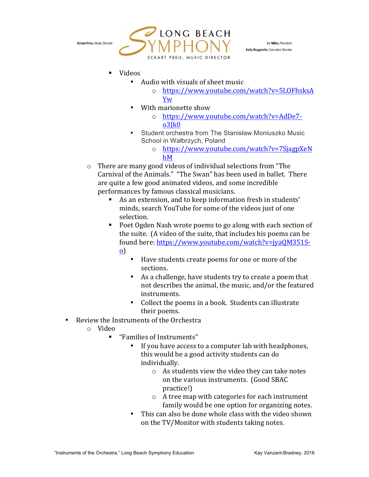

Irv Miller, President Kelly Ruggirello, Executive Director

- Videos
	- Audio with visuals of sheet music
		- o https://www.youtube.com/watch?v=5LOFhsksA Yw
	- With marionette show
		- o https://www.youtube.com/watch?v=AdDe7 o3Jk0
	- Student orchestra from The Stanisław Moniuszko Music School in Wałbrzych, Poland
		- o https://www.youtube.com/watch?v=7SjagpXeN hM
- $\circ$  There are many good videos of individual selections from "The Carnival of the Animals." "The Swan" has been used in ballet. There are quite a few good animated videos, and some incredible performances by famous classical musicians.
	- As an extension, and to keep information fresh in students' minds, search YouTube for some of the videos just of one selection.
	- Poet Ogden Nash wrote poems to go along with each section of the suite. (A video of the suite, that includes his poems can be found here: https://www.youtube.com/watch?v=jya0M351So)
		- Have students create poems for one or more of the sections.
		- As a challenge, have students try to create a poem that not describes the animal, the music, and/or the featured instruments.
		- Collect the poems in a book. Students can illustrate their poems.
- Review the Instruments of the Orchestra
	- o Video
		- "Families of Instruments"
			- If you have access to a computer lab with headphones, this would be a good activity students can do individually.
				- $\circ$  As students view the video they can take notes on the various instruments. (Good SBAC practice!)
				- $\circ$  A tree map with categories for each instrument family would be one option for organizing notes.
			- This can also be done whole class with the video shown on the TV/Monitor with students taking notes.